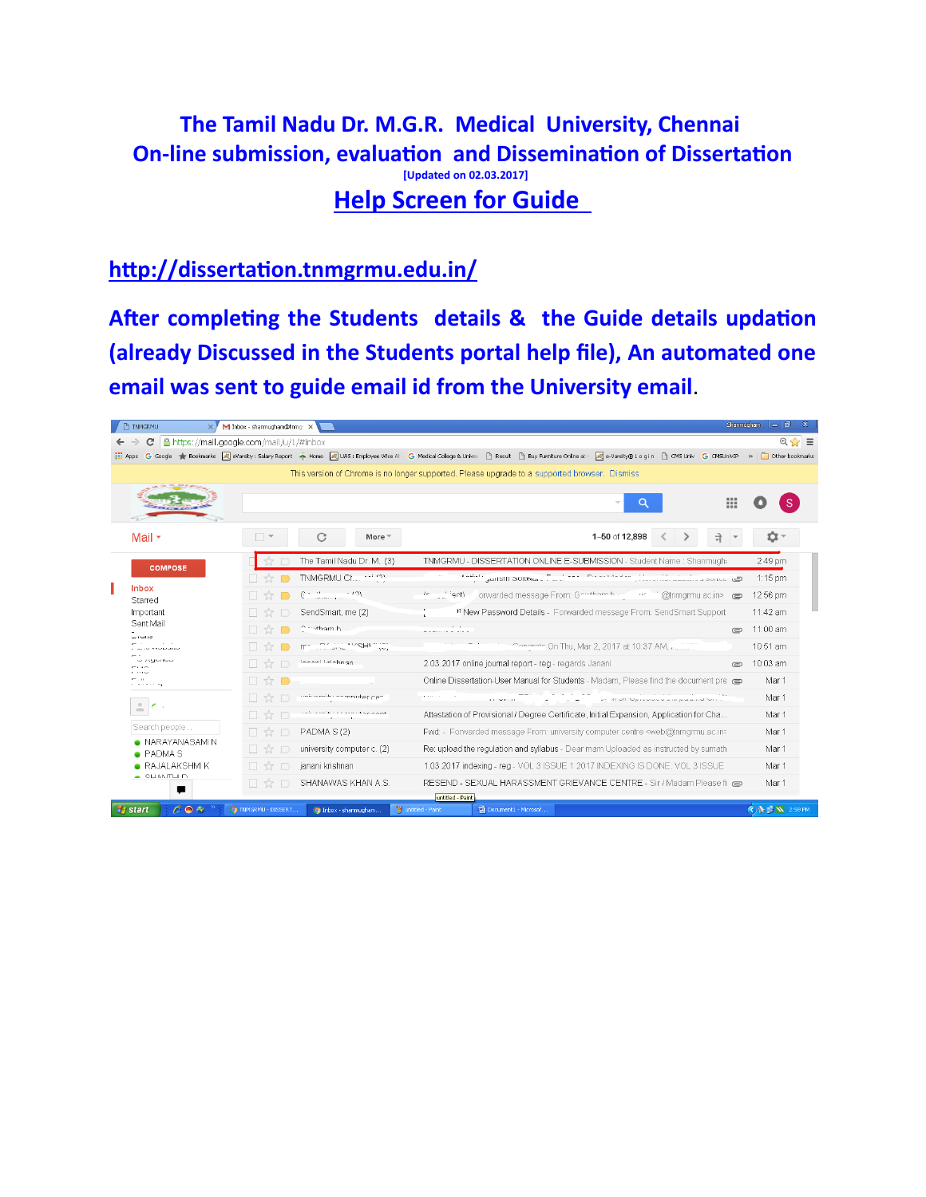#### **The Tamil Nadu Dr. M.G.R. Medical University, Chennai On-line submission, evaluation and Dissemination of Dissertation [Updated on 02.03.2017] Help Screen for Guide**

#### **hƩp://dissertaƟon.tnmgrmu.edu.in/**

After completing the Students details & the Guide details updation **(already Discussed in the Students portal help file), An automated one email was sent to guide email id from the University email**.

| <b>TINMGRMU</b>                      |                                                                                               |  | X / M Inbox - shanmugham@tnmg: X |                                        |                                                                     |                                                                                                                                                                                                                              |                                                                                                                                                                   |                                                                                    |                                                                       |           | Shanmucham                       |                       |  |
|--------------------------------------|-----------------------------------------------------------------------------------------------|--|----------------------------------|----------------------------------------|---------------------------------------------------------------------|------------------------------------------------------------------------------------------------------------------------------------------------------------------------------------------------------------------------------|-------------------------------------------------------------------------------------------------------------------------------------------------------------------|------------------------------------------------------------------------------------|-----------------------------------------------------------------------|-----------|----------------------------------|-----------------------|--|
| c                                    | fa https://mail.google.com/mail/u/1/#inbox                                                    |  |                                  |                                        |                                                                     |                                                                                                                                                                                                                              |                                                                                                                                                                   |                                                                                    |                                                                       |           |                                  | $Q \geq 1$            |  |
|                                      |                                                                                               |  |                                  |                                        |                                                                     | :::: Apps G Google < Bookmarks all eVarsity: Salary Report < Home all UAS: Employee Wise All G Medical College & Univer E Result E Buy Furniture Online at [all e-Varsity® Login E CMS Univ G CMS UnivE >> E Other bookmarks |                                                                                                                                                                   |                                                                                    |                                                                       |           |                                  |                       |  |
|                                      | This version of Chrome is no longer supported. Please upgrade to a supported browser. Dismiss |  |                                  |                                        |                                                                     |                                                                                                                                                                                                                              |                                                                                                                                                                   |                                                                                    |                                                                       |           |                                  |                       |  |
|                                      |                                                                                               |  |                                  |                                        |                                                                     |                                                                                                                                                                                                                              |                                                                                                                                                                   |                                                                                    |                                                                       |           | ₩                                |                       |  |
| Mail +                               |                                                                                               |  |                                  | C                                      | More $+$                                                            |                                                                                                                                                                                                                              |                                                                                                                                                                   |                                                                                    | 1-50 of 12.898                                                        |           | ने                               | o                     |  |
|                                      | <b>COMPOSE</b>                                                                                |  |                                  | The Tamil Nadu Dr. M., (3)             |                                                                     |                                                                                                                                                                                                                              |                                                                                                                                                                   |                                                                                    | TNMGRMU - DISSERTATION ONLINE E-SUBMISSION - Student Name : Shanmugh- |           |                                  | 2:49 pm               |  |
|                                      |                                                                                               |  |                                  | TNMGRMU Chapter (2)                    |                                                                     | $\mathbf{0}$ and $\mathbf{0}$ .                                                                                                                                                                                              |                                                                                                                                                                   |                                                                                    | <sup>11</sup> JanSM SORWARD Part --- Preserve the pilots              |           | Out out to concern a more to the | 1:15 pm               |  |
| <b>Inbox</b><br>Starred              |                                                                                               |  |                                  | $0 = 1 - 1$                            |                                                                     | fr __ __ ignt).                                                                                                                                                                                                              | onwarded message From: Govthem buttoned and Commandacting research                                                                                                |                                                                                    |                                                                       |           |                                  |                       |  |
| Important                            |                                                                                               |  | $\frac{1}{2}$                    | SendSmart, me (2)                      |                                                                     |                                                                                                                                                                                                                              | # New Password Details - Forwarded message From: SendSmart Support                                                                                                |                                                                                    | 11:42 am                                                              |           |                                  |                       |  |
| Sent Mail                            |                                                                                               |  | □☆■                              | Crivtham h.                            | <b>Contract Contract</b><br><b>No an excess the commence of the</b> |                                                                                                                                                                                                                              |                                                                                                                                                                   |                                                                                    |                                                                       | $\subset$ | 11:00 am                         |                       |  |
| $-14113$<br><b>CONTRACTOR</b>        |                                                                                               |  |                                  | <b>CONSIGNIAL MARKET (C)</b>           | $\mathcal{N}^{\text{ref}}$                                          |                                                                                                                                                                                                                              | Concrete On Thu, Mar 2, 2017 at 10:37 AM, Julian                                                                                                                  |                                                                                    | 10:51 am                                                              |           |                                  |                       |  |
| $-159 - 156$<br>-- --                |                                                                                               |  | 口☆口                              | Johnni Leichnan                        |                                                                     | 2.03.2017 online journal report - reg - regards Janani<br>$\epsilon$                                                                                                                                                         |                                                                                                                                                                   |                                                                                    |                                                                       |           |                                  |                       |  |
| .<br>and a state and                 |                                                                                               |  | □☆■                              |                                        |                                                                     |                                                                                                                                                                                                                              |                                                                                                                                                                   | Online Dissertation-User Manual for Students - Madam, Please find the document pre |                                                                       |           | Mar 1                            |                       |  |
|                                      |                                                                                               |  | 口☆口                              | unicomit commutar can                  |                                                                     | <b>Black County County</b>                                                                                                                                                                                                   | ALL MAIL AV                                                                                                                                                       |                                                                                    | 25 All All Management and process of Min-                             |           |                                  | Mar 1                 |  |
| $\stackrel{0}{\equiv}$<br>$\epsilon$ |                                                                                               |  | □☆□                              | a main an amida a component componente |                                                                     | Attestation of Provisional / Degree Certificate, Initial Expansion, Application for Cha                                                                                                                                      |                                                                                                                                                                   |                                                                                    |                                                                       |           |                                  | Mar 1                 |  |
|                                      | Search people                                                                                 |  | $\Box$ $\overline{\chi}$         | PADMA S(2)                             |                                                                     | Fwd: - Forwarded message From: university computer centre <web@tnmgrmu.ac.in></web@tnmgrmu.ac.in>                                                                                                                            |                                                                                                                                                                   |                                                                                    |                                                                       |           |                                  |                       |  |
|                                      | NARAYANASAMIN                                                                                 |  | $\frac{1}{2}$                    | university computer c. (2)             |                                                                     |                                                                                                                                                                                                                              | Re: upload the regulation and syllabus - Dear mam Uploaded as instructed by sumath<br>1.03.2017 indexing - reg - VOL 3 ISSUE 1 2017 INDEXING IS DONE, VOL 3 ISSUE |                                                                                    |                                                                       |           |                                  |                       |  |
| • PADMA S                            | $\bullet$ RAJALAKSHMIK                                                                        |  | 口な口                              | janani krishnan                        |                                                                     |                                                                                                                                                                                                                              |                                                                                                                                                                   |                                                                                    |                                                                       |           |                                  |                       |  |
| $\sim$ CHANTHID                      |                                                                                               |  | 日立口                              | SHANAWAS KHAN A.S.                     |                                                                     |                                                                                                                                                                                                                              |                                                                                                                                                                   |                                                                                    | RESEND - SEXUAL HARASSMENT GRIEVANCE CENTRE - Sir / Madam Please fi @ |           |                                  | Mar 1                 |  |
|                                      | г                                                                                             |  |                                  |                                        |                                                                     | untitled - Paint                                                                                                                                                                                                             |                                                                                                                                                                   |                                                                                    |                                                                       |           |                                  |                       |  |
| <b>H</b> start                       | $C \odot R$                                                                                   |  | O TNMGRMU - DISSERT              | O Inbox - shanmugham                   |                                                                     | W untitled - Paint                                                                                                                                                                                                           | Document1 - Microsof                                                                                                                                              |                                                                                    |                                                                       |           |                                  | <b>CAN IN</b> 2:59 PM |  |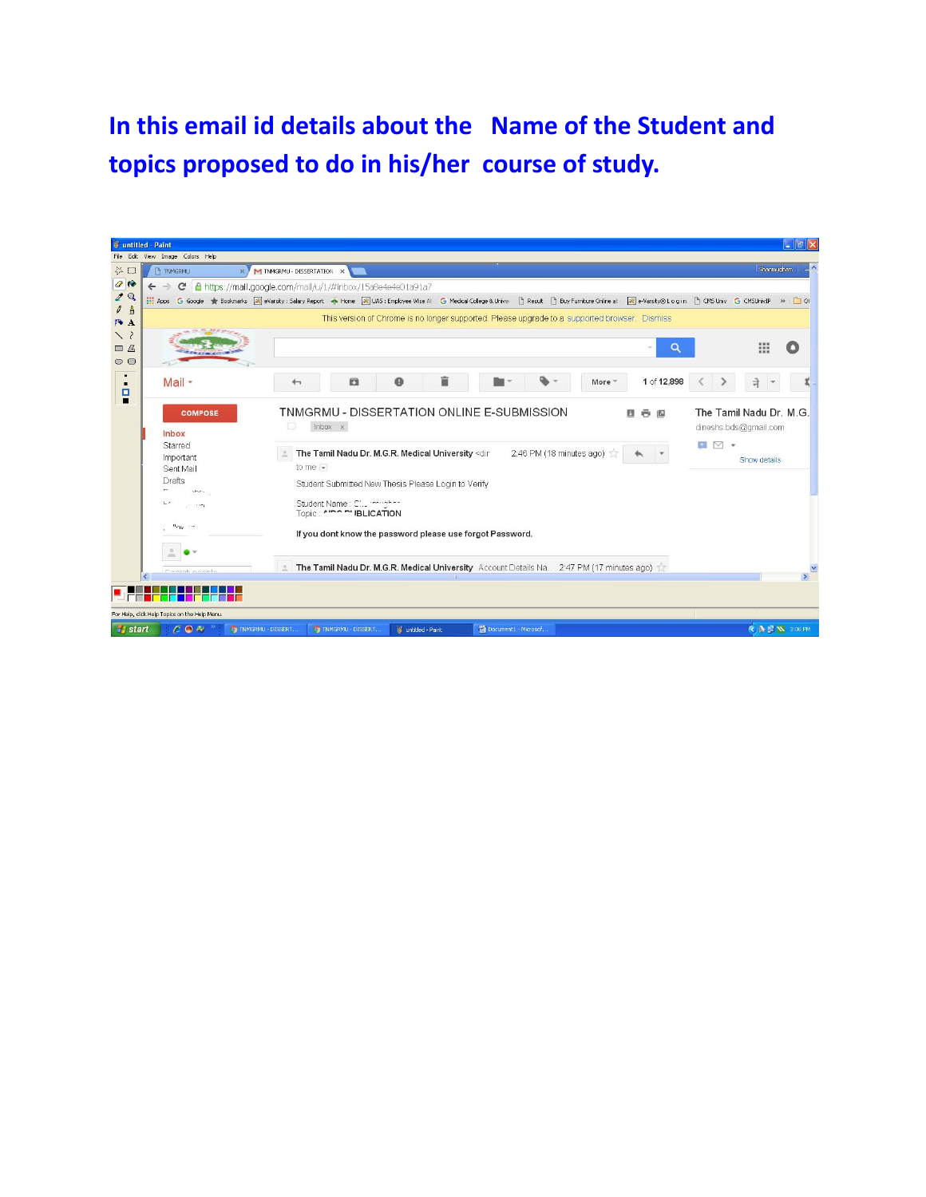# **In this email id details about the Name of the Student and topics proposed to do in his/her course of study.**

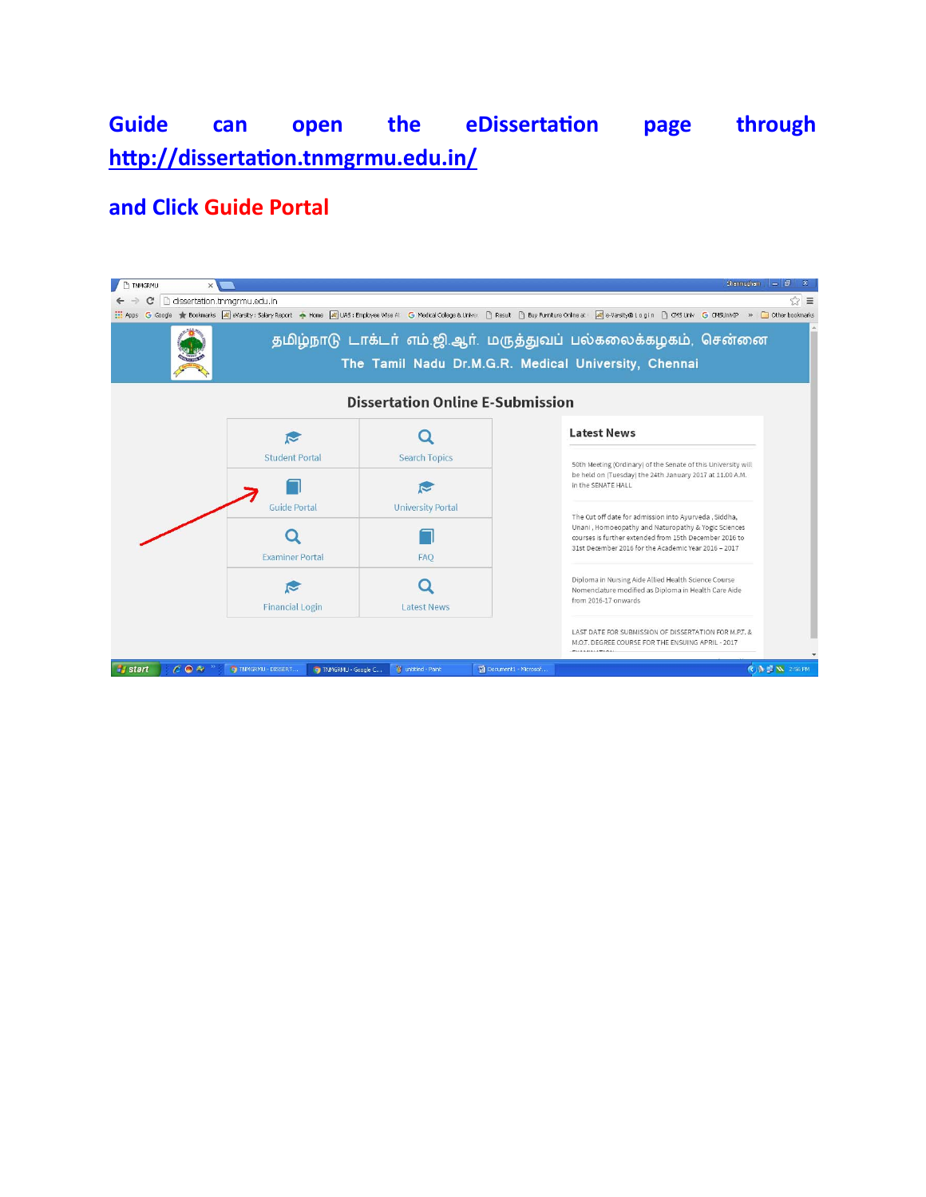## **Guide can open the eDissertaƟon page through hƩp://dissertaƟon.tnmgrmu.edu.in/**

#### **and Click Guide Portal**

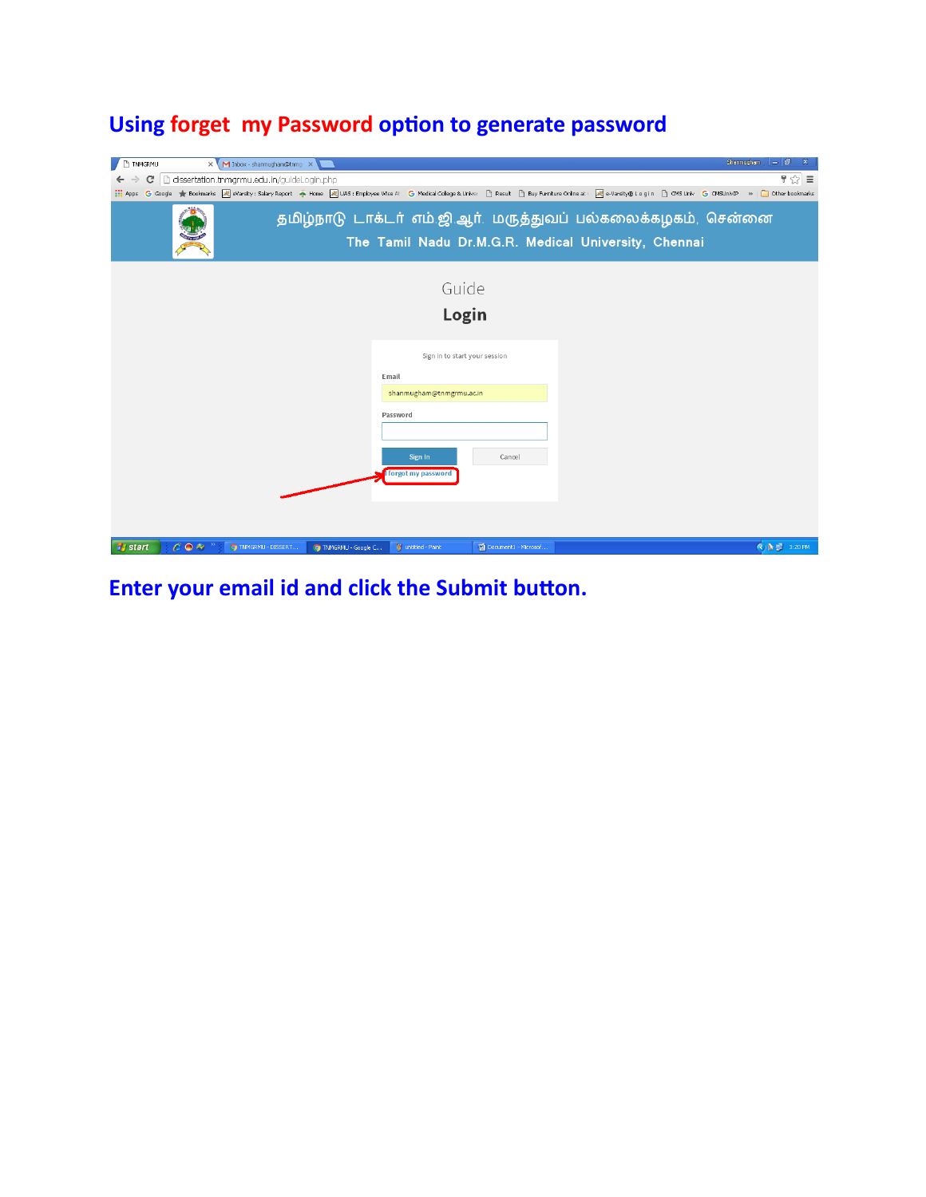## **Using forget my Password opƟon to generate password**

| TNMGRMU               |               | X M Inbox - shanmugham@tnmg: X             |                    |                               |                      | $ \mathsf{Shamugham}   =  \mathsf{d}  $<br>$\mathbf{x}$                                                                |  |  |  |  |
|-----------------------|---------------|--------------------------------------------|--------------------|-------------------------------|----------------------|------------------------------------------------------------------------------------------------------------------------|--|--|--|--|
| c                     |               | dissertation.thmgrmu.edu.in/guideLogin.php |                    |                               |                      | $\mathbb{F}$ $\approx$<br>$\equiv$                                                                                     |  |  |  |  |
|                       |               |                                            |                    |                               |                      |                                                                                                                        |  |  |  |  |
|                       |               |                                            |                    |                               |                      | தமிழ்நாடு டாக்டர் எம்.ஜி.ஆர். மருத்துவப் பல்கலைக்கழகம், சென்னை<br>The Tamil Nadu Dr.M.G.R. Medical University, Chennai |  |  |  |  |
|                       |               |                                            |                    | Guide                         |                      |                                                                                                                        |  |  |  |  |
|                       | Login         |                                            |                    |                               |                      |                                                                                                                        |  |  |  |  |
|                       |               |                                            |                    | Sign in to start your session |                      |                                                                                                                        |  |  |  |  |
|                       |               | Email                                      |                    |                               |                      |                                                                                                                        |  |  |  |  |
|                       |               |                                            |                    | shanmugham@tnmgrmu.ac.in      |                      |                                                                                                                        |  |  |  |  |
|                       |               |                                            |                    | Password                      |                      |                                                                                                                        |  |  |  |  |
|                       |               |                                            |                    |                               |                      |                                                                                                                        |  |  |  |  |
|                       |               |                                            |                    | Sign In                       | Cancel               |                                                                                                                        |  |  |  |  |
|                       |               |                                            |                    | <b>forgot my password</b>     |                      |                                                                                                                        |  |  |  |  |
|                       |               |                                            |                    |                               |                      |                                                                                                                        |  |  |  |  |
|                       |               |                                            |                    |                               |                      |                                                                                                                        |  |  |  |  |
|                       |               |                                            |                    |                               |                      |                                                                                                                        |  |  |  |  |
| <b><i>i</i></b> start | $C \bullet P$ | O TNMGRMU - DISSERT                        | TNMGRMU - Google C | W untitled - Paint            | Document1 - Microsof | $\bigodot \bigcirc$ = 3:20 PM                                                                                          |  |  |  |  |

**Enter your email id and click the Submit button.**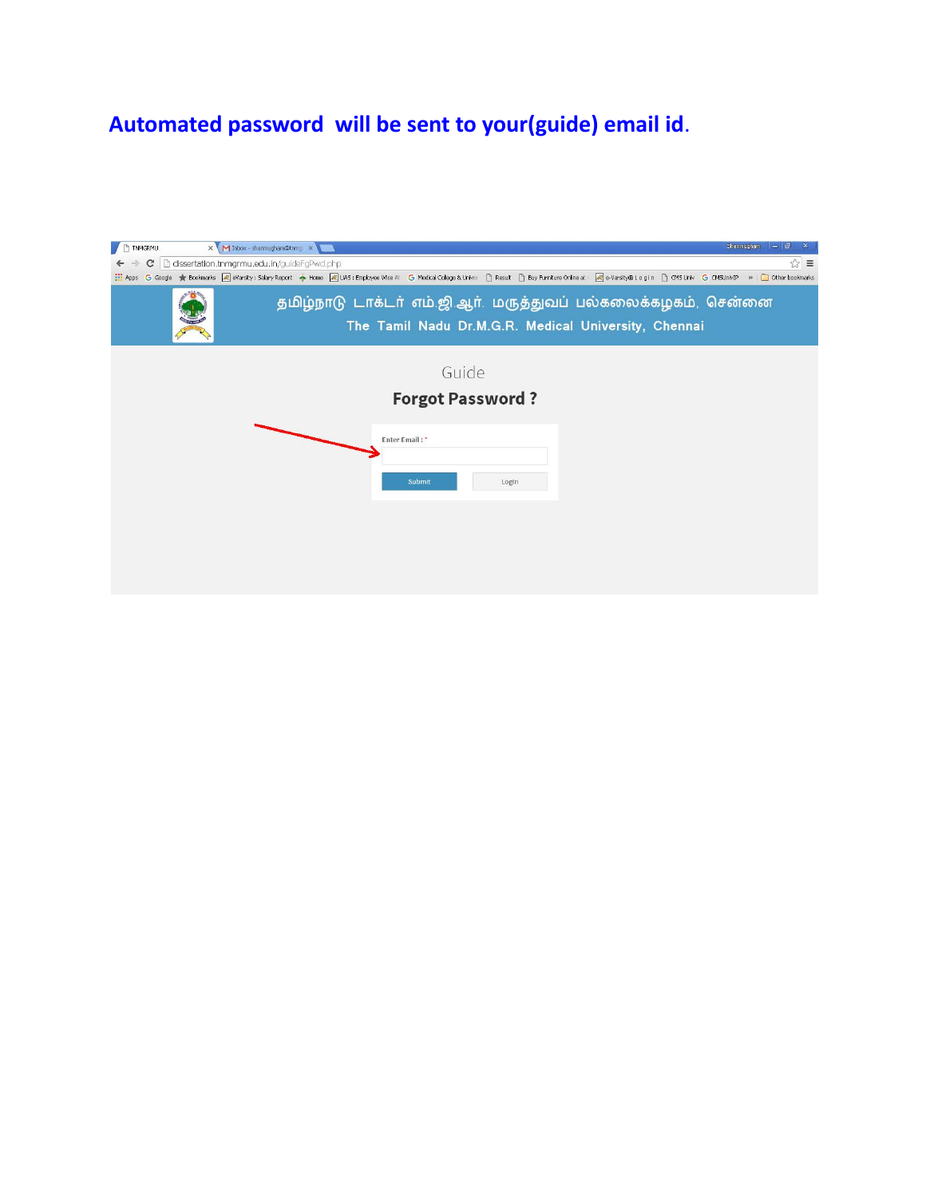# **Automated password will be sent to your(guide) email id**.

| Shanmucham 二 日<br>X M Inbox - shanmugham@tnmc X<br>$\Box$<br>TNMGRMU                                                   |  |  |  |  |  |  |  |  |  |  |
|------------------------------------------------------------------------------------------------------------------------|--|--|--|--|--|--|--|--|--|--|
| 53<br>dissertation.tnmgrmu.edu.in/guideFgPwd.php<br>$\equiv$<br>$\mathbf{C}$<br>$\leftarrow$                           |  |  |  |  |  |  |  |  |  |  |
|                                                                                                                        |  |  |  |  |  |  |  |  |  |  |
| தமிழ்நாடு டாக்டர் எம்.ஜி.ஆர். மருத்துவப் பல்கலைக்கழகம், சென்னை<br>The Tamil Nadu Dr.M.G.R. Medical University, Chennai |  |  |  |  |  |  |  |  |  |  |
| Guide                                                                                                                  |  |  |  |  |  |  |  |  |  |  |
| <b>Forgot Password?</b>                                                                                                |  |  |  |  |  |  |  |  |  |  |
| Enter Email:*                                                                                                          |  |  |  |  |  |  |  |  |  |  |
| Submit<br>Login                                                                                                        |  |  |  |  |  |  |  |  |  |  |
|                                                                                                                        |  |  |  |  |  |  |  |  |  |  |
|                                                                                                                        |  |  |  |  |  |  |  |  |  |  |
|                                                                                                                        |  |  |  |  |  |  |  |  |  |  |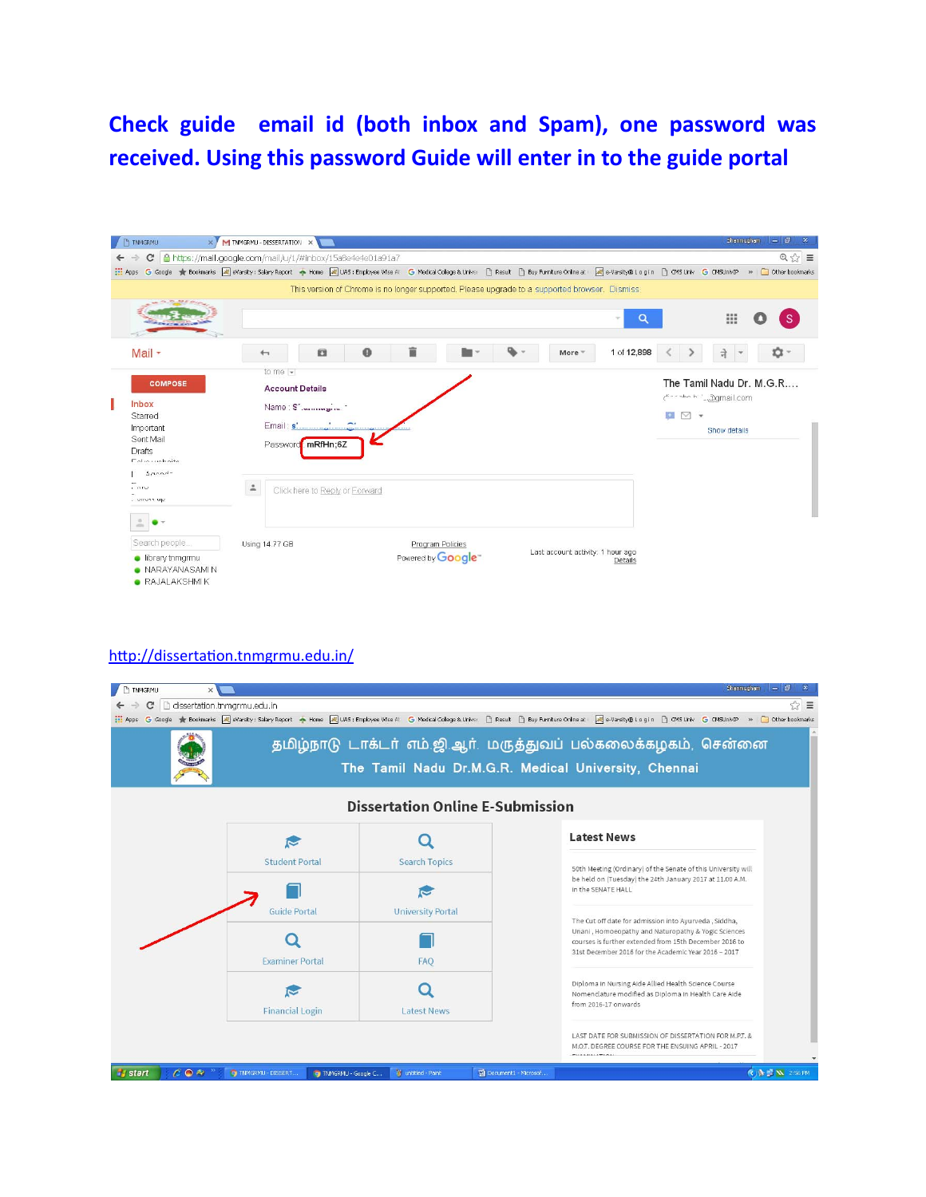### **Check guide email id (both inbox and Spam), one password was received. Using this password Guide will enter in to the guide portal**



#### http://dissertation.tnmgrmu.edu.in/

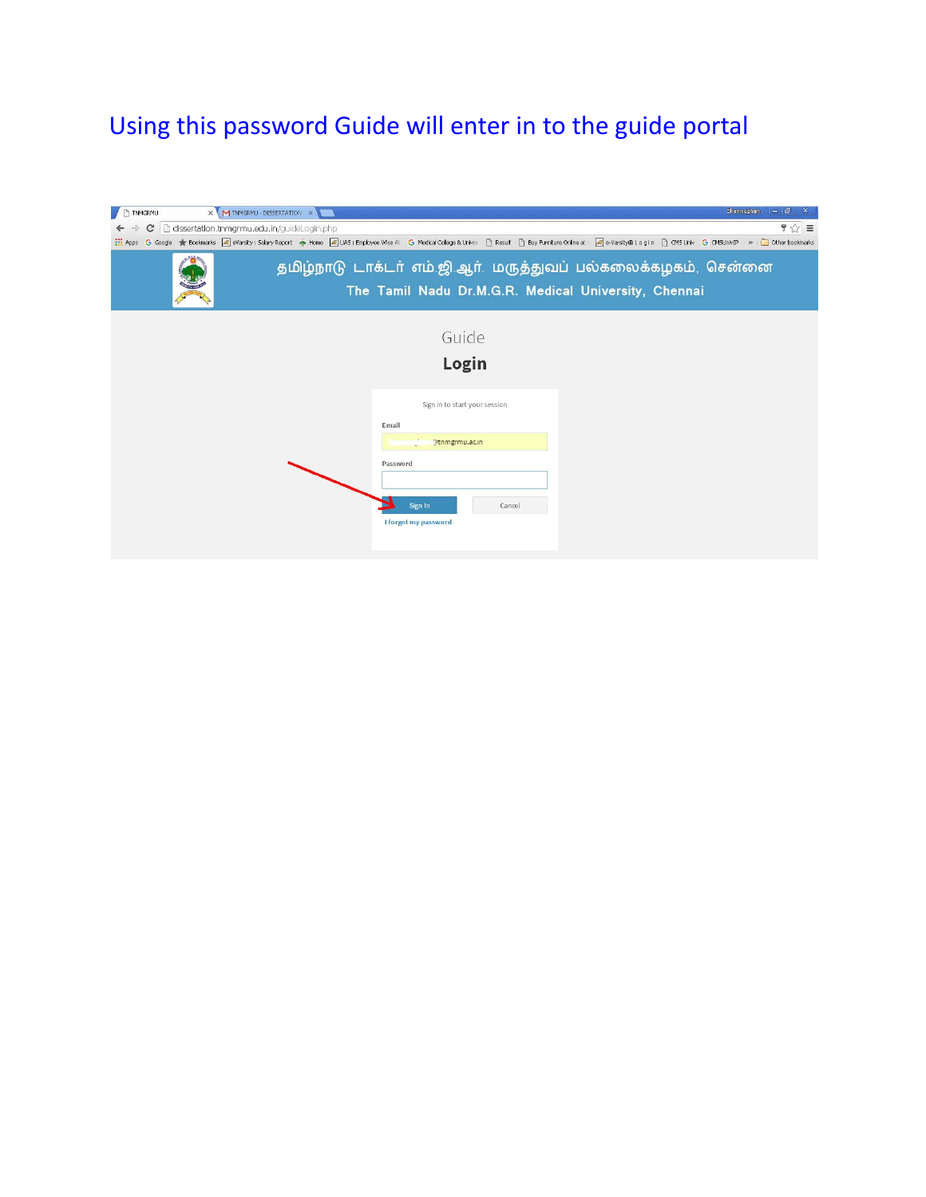# Using this password Guide will enter in to the guide portal

| TNMGRMU           | X M TNMGRMU - DISSERTATION X               | Shanmugham 二 日<br>$\mathbf{x}$                                                                                                                                                                                                 |  |  |  |  |  |  |  |  |  |
|-------------------|--------------------------------------------|--------------------------------------------------------------------------------------------------------------------------------------------------------------------------------------------------------------------------------|--|--|--|--|--|--|--|--|--|
| c<br>$\leftarrow$ | dissertation.thmgrmu.edu.in/quideLogin.php | $922 \equiv$                                                                                                                                                                                                                   |  |  |  |  |  |  |  |  |  |
|                   |                                            | Apps G Google to Bookmarks all eVarsity : Salary Report + Home [all UAS : Employee Wise All G Medical College & Univer     Result     Buy Furniture Online at   all eVarsity@ Login     CMS Univ G CMSUnivIP >>   a   Other bo |  |  |  |  |  |  |  |  |  |
|                   |                                            |                                                                                                                                                                                                                                |  |  |  |  |  |  |  |  |  |
|                   |                                            | தமிழ்நாடு டாக்டர் எம்.ஜி.ஆர். மருத்துவப் பல்கலைக்கழகம், சென்னை                                                                                                                                                                 |  |  |  |  |  |  |  |  |  |
|                   |                                            |                                                                                                                                                                                                                                |  |  |  |  |  |  |  |  |  |
|                   |                                            | The Tamil Nadu Dr.M.G.R. Medical University, Chennai                                                                                                                                                                           |  |  |  |  |  |  |  |  |  |
|                   |                                            |                                                                                                                                                                                                                                |  |  |  |  |  |  |  |  |  |
|                   |                                            |                                                                                                                                                                                                                                |  |  |  |  |  |  |  |  |  |
|                   |                                            |                                                                                                                                                                                                                                |  |  |  |  |  |  |  |  |  |
|                   | Guide                                      |                                                                                                                                                                                                                                |  |  |  |  |  |  |  |  |  |
|                   |                                            |                                                                                                                                                                                                                                |  |  |  |  |  |  |  |  |  |
|                   |                                            | Login                                                                                                                                                                                                                          |  |  |  |  |  |  |  |  |  |
|                   |                                            |                                                                                                                                                                                                                                |  |  |  |  |  |  |  |  |  |
|                   |                                            |                                                                                                                                                                                                                                |  |  |  |  |  |  |  |  |  |
|                   |                                            | Sign in to start your session                                                                                                                                                                                                  |  |  |  |  |  |  |  |  |  |
|                   |                                            | Email                                                                                                                                                                                                                          |  |  |  |  |  |  |  |  |  |
|                   |                                            |                                                                                                                                                                                                                                |  |  |  |  |  |  |  |  |  |
|                   |                                            | <b>Dtnmgrmu.ac.in</b>                                                                                                                                                                                                          |  |  |  |  |  |  |  |  |  |
|                   |                                            | Password                                                                                                                                                                                                                       |  |  |  |  |  |  |  |  |  |
|                   |                                            |                                                                                                                                                                                                                                |  |  |  |  |  |  |  |  |  |
|                   |                                            |                                                                                                                                                                                                                                |  |  |  |  |  |  |  |  |  |
|                   |                                            |                                                                                                                                                                                                                                |  |  |  |  |  |  |  |  |  |
|                   |                                            | Sign In<br>Cancel                                                                                                                                                                                                              |  |  |  |  |  |  |  |  |  |
|                   |                                            | I forgot my password                                                                                                                                                                                                           |  |  |  |  |  |  |  |  |  |
|                   |                                            |                                                                                                                                                                                                                                |  |  |  |  |  |  |  |  |  |
|                   |                                            |                                                                                                                                                                                                                                |  |  |  |  |  |  |  |  |  |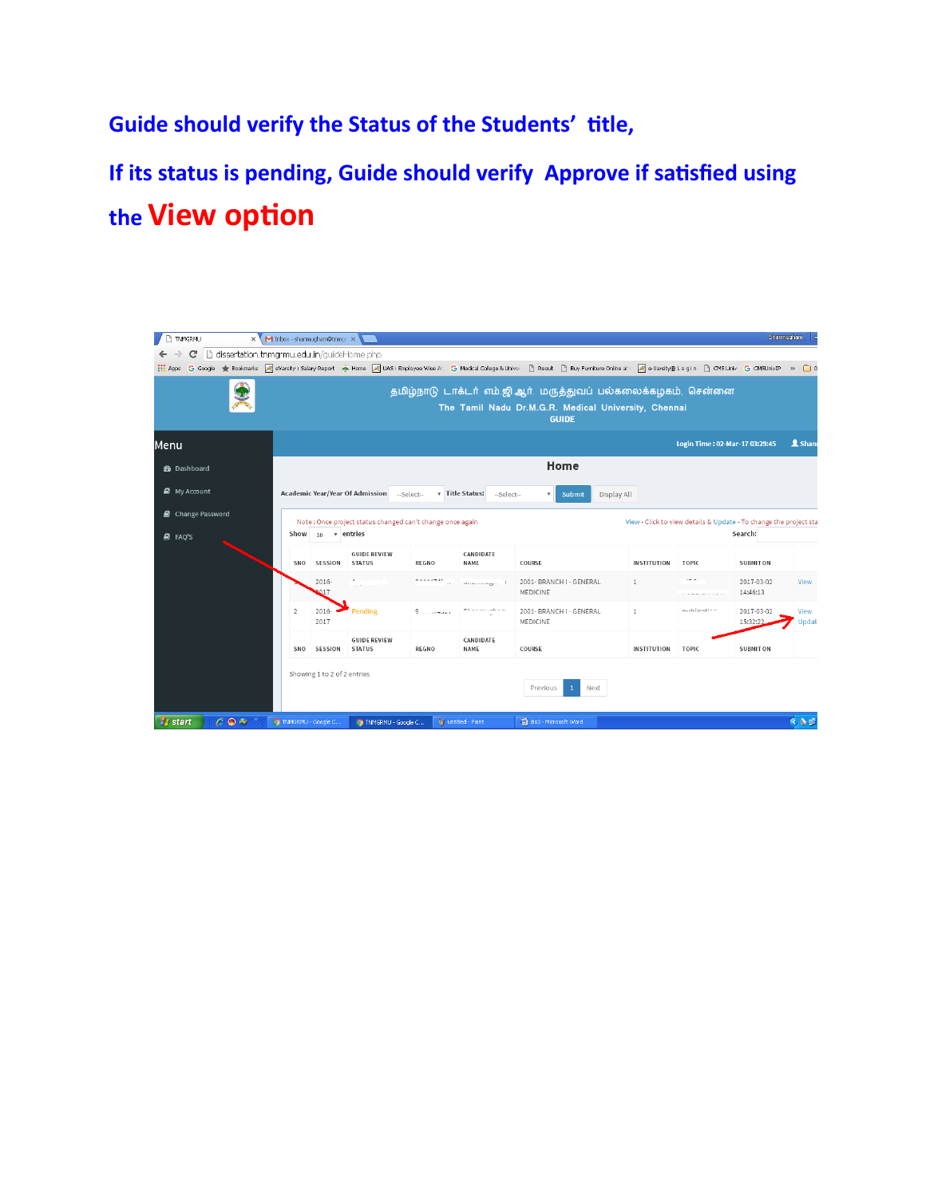**Guide should verify the Status of the Students' Ɵtle,**

**If its status is pending, Guide should verify Approve if saƟsfied using the View option** 

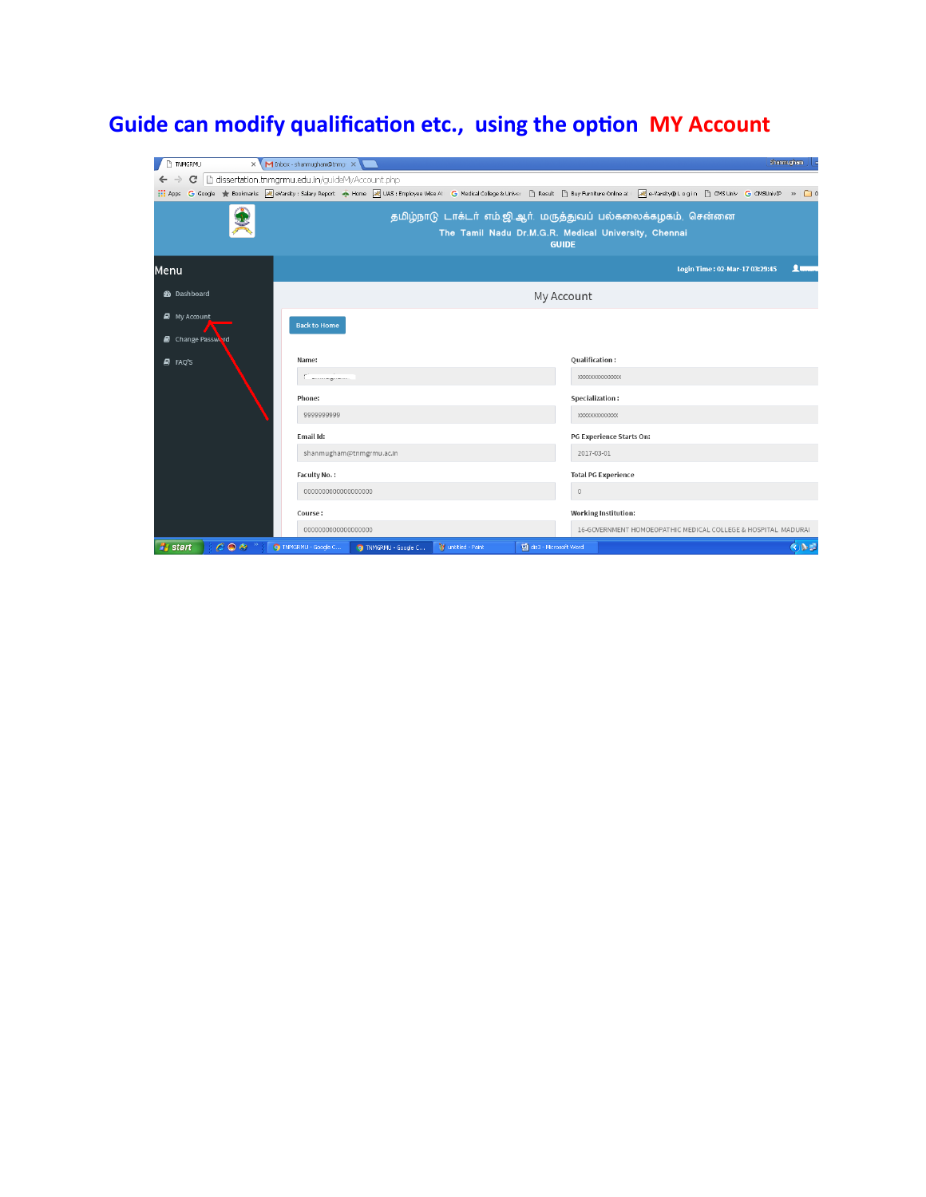# **Guide can modify qualificaƟon etc., using the opƟon MY Account**

| TNMGRMU                                                                                                                                                                                                                 |  | X M Inbox - shanmugham@tnmg: X |                                                                      |  |                    |                                 |                             |                                                               |  |                                | Shanmucham                         |  |  |
|-------------------------------------------------------------------------------------------------------------------------------------------------------------------------------------------------------------------------|--|--------------------------------|----------------------------------------------------------------------|--|--------------------|---------------------------------|-----------------------------|---------------------------------------------------------------|--|--------------------------------|------------------------------------|--|--|
| dissertation.tnmgrmu.edu.in/guideMyAccount.php<br>C                                                                                                                                                                     |  |                                |                                                                      |  |                    |                                 |                             |                                                               |  |                                |                                    |  |  |
| ::: Apps G Google ★ Bookmarks   제 eVarsity: Salary Report ◆ Home   제 UAS: Employee Wise Al: G Medical College & Univer     Result     Buy Furniture Online at   제 eVarsity® Login     CMSUniv B O MSUnivIP >>         ○ |  |                                |                                                                      |  |                    |                                 |                             |                                                               |  |                                |                                    |  |  |
|                                                                                                                                                                                                                         |  |                                | தமிழ்நாடு டாக்டர் எம்.ஜி.ஆர். மருத்துவப் பல்கலைக்கழகம், சென்னை       |  |                    |                                 |                             |                                                               |  |                                |                                    |  |  |
|                                                                                                                                                                                                                         |  |                                | The Tamil Nadu Dr.M.G.R. Medical University, Chennai<br><b>GUIDE</b> |  |                    |                                 |                             |                                                               |  |                                |                                    |  |  |
| Menu                                                                                                                                                                                                                    |  |                                |                                                                      |  |                    |                                 |                             |                                                               |  | Login Time: 02-Mar-17 03:29:45 | <u> 1 mars</u>                     |  |  |
| <b>@</b> Dashboard                                                                                                                                                                                                      |  |                                | My Account                                                           |  |                    |                                 |                             |                                                               |  |                                |                                    |  |  |
| <b>My Account</b>                                                                                                                                                                                                       |  | <b>Back to Home</b>            |                                                                      |  |                    |                                 |                             |                                                               |  |                                |                                    |  |  |
| <b>B</b> Change Password                                                                                                                                                                                                |  |                                |                                                                      |  |                    |                                 |                             |                                                               |  |                                |                                    |  |  |
|                                                                                                                                                                                                                         |  | Name:                          |                                                                      |  |                    |                                 |                             |                                                               |  |                                |                                    |  |  |
| <b>图 FAQ'S</b>                                                                                                                                                                                                          |  |                                |                                                                      |  |                    |                                 |                             | Qualification:<br>XXXXXXXXXXXXXX                              |  |                                |                                    |  |  |
|                                                                                                                                                                                                                         |  |                                |                                                                      |  |                    |                                 |                             |                                                               |  |                                |                                    |  |  |
|                                                                                                                                                                                                                         |  | Phone:                         |                                                                      |  |                    |                                 |                             | Specialization:                                               |  |                                |                                    |  |  |
|                                                                                                                                                                                                                         |  |                                | 9999999999                                                           |  |                    |                                 |                             | XXXXXXXXXXXXX                                                 |  |                                |                                    |  |  |
|                                                                                                                                                                                                                         |  | Email Id:                      |                                                                      |  |                    | <b>PG Experience Starts On:</b> |                             |                                                               |  |                                |                                    |  |  |
|                                                                                                                                                                                                                         |  |                                | shanmugham@tnmgrmu.ac.in                                             |  |                    |                                 |                             | 2017-03-01                                                    |  |                                |                                    |  |  |
|                                                                                                                                                                                                                         |  | Faculty No.:                   |                                                                      |  |                    |                                 |                             | <b>Total PG Experience</b>                                    |  |                                |                                    |  |  |
|                                                                                                                                                                                                                         |  |                                | 000000000000000000                                                   |  |                    | $\mathbb O$                     |                             |                                                               |  |                                |                                    |  |  |
|                                                                                                                                                                                                                         |  | Course:                        |                                                                      |  |                    |                                 | <b>Working Institution:</b> |                                                               |  |                                |                                    |  |  |
|                                                                                                                                                                                                                         |  |                                | 000000000000000000                                                   |  |                    |                                 |                             | 16-GOVERNMENT HOMOEOPATHIC MEDICAL COLLEGE & HOSPITAL MADURAI |  |                                |                                    |  |  |
| $C \odot R$<br><b><i>H</i></b> start                                                                                                                                                                                    |  | C TNMGRMU - Google C           | C TNMGRMU - Google C                                                 |  | W untitled - Paint | dis3 - Microsoft Word           |                             |                                                               |  |                                | $\bigcirc$ $\bigcirc$ $\mathbb{I}$ |  |  |